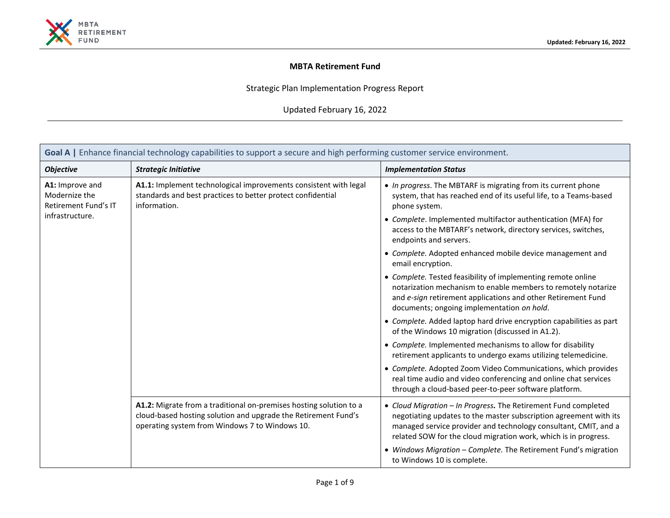

## **MBTA Retirement Fund**

Strategic Plan Implementation Progress Report

Updated February 16, 2022

| Goal A   Enhance financial technology capabilities to support a secure and high performing customer service environment. |                                                                                                                                                                                        |                                                                                                                                                                                                                                                                           |  |
|--------------------------------------------------------------------------------------------------------------------------|----------------------------------------------------------------------------------------------------------------------------------------------------------------------------------------|---------------------------------------------------------------------------------------------------------------------------------------------------------------------------------------------------------------------------------------------------------------------------|--|
| <b>Objective</b>                                                                                                         | <b>Strategic Initiative</b>                                                                                                                                                            | <b>Implementation Status</b>                                                                                                                                                                                                                                              |  |
| A1: Improve and<br>Modernize the<br>Retirement Fund's IT                                                                 | A1.1: Implement technological improvements consistent with legal<br>standards and best practices to better protect confidential<br>information.                                        | • In progress. The MBTARF is migrating from its current phone<br>system, that has reached end of its useful life, to a Teams-based<br>phone system.                                                                                                                       |  |
| infrastructure.                                                                                                          |                                                                                                                                                                                        | • Complete. Implemented multifactor authentication (MFA) for<br>access to the MBTARF's network, directory services, switches,<br>endpoints and servers.                                                                                                                   |  |
|                                                                                                                          |                                                                                                                                                                                        | • Complete. Adopted enhanced mobile device management and<br>email encryption.                                                                                                                                                                                            |  |
|                                                                                                                          |                                                                                                                                                                                        | • Complete. Tested feasibility of implementing remote online<br>notarization mechanism to enable members to remotely notarize<br>and e-sign retirement applications and other Retirement Fund<br>documents; ongoing implementation on hold.                               |  |
|                                                                                                                          |                                                                                                                                                                                        | • Complete. Added laptop hard drive encryption capabilities as part<br>of the Windows 10 migration (discussed in A1.2).                                                                                                                                                   |  |
|                                                                                                                          |                                                                                                                                                                                        | • Complete. Implemented mechanisms to allow for disability<br>retirement applicants to undergo exams utilizing telemedicine.                                                                                                                                              |  |
|                                                                                                                          |                                                                                                                                                                                        | • Complete. Adopted Zoom Video Communications, which provides<br>real time audio and video conferencing and online chat services<br>through a cloud-based peer-to-peer software platform.                                                                                 |  |
|                                                                                                                          | A1.2: Migrate from a traditional on-premises hosting solution to a<br>cloud-based hosting solution and upgrade the Retirement Fund's<br>operating system from Windows 7 to Windows 10. | • Cloud Migration - In Progress. The Retirement Fund completed<br>negotiating updates to the master subscription agreement with its<br>managed service provider and technology consultant, CMIT, and a<br>related SOW for the cloud migration work, which is in progress. |  |
|                                                                                                                          |                                                                                                                                                                                        | • Windows Migration - Complete. The Retirement Fund's migration<br>to Windows 10 is complete.                                                                                                                                                                             |  |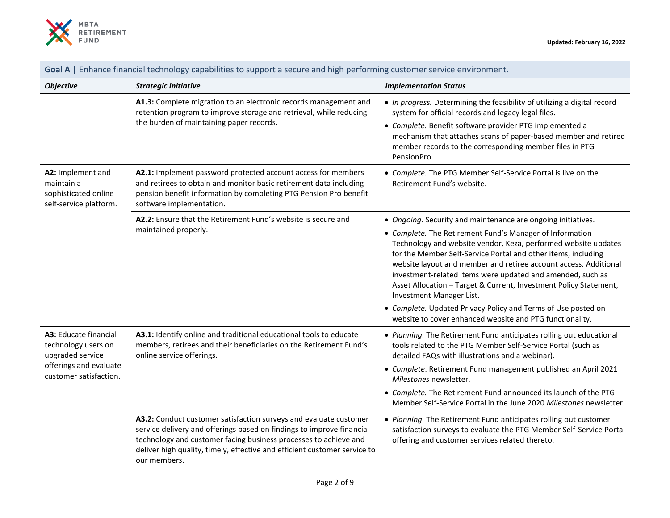

| Goal A   Enhance financial technology capabilities to support a secure and high performing customer service environment. |                                                                                                                                                                                                                                                                                                             |                                                                                                                                                                                                                                                                                                                                                                                                                                |
|--------------------------------------------------------------------------------------------------------------------------|-------------------------------------------------------------------------------------------------------------------------------------------------------------------------------------------------------------------------------------------------------------------------------------------------------------|--------------------------------------------------------------------------------------------------------------------------------------------------------------------------------------------------------------------------------------------------------------------------------------------------------------------------------------------------------------------------------------------------------------------------------|
| <b>Objective</b>                                                                                                         | <b>Strategic Initiative</b>                                                                                                                                                                                                                                                                                 | <b>Implementation Status</b>                                                                                                                                                                                                                                                                                                                                                                                                   |
|                                                                                                                          | A1.3: Complete migration to an electronic records management and<br>retention program to improve storage and retrieval, while reducing<br>the burden of maintaining paper records.                                                                                                                          | • In progress. Determining the feasibility of utilizing a digital record<br>system for official records and legacy legal files.<br>• Complete. Benefit software provider PTG implemented a<br>mechanism that attaches scans of paper-based member and retired<br>member records to the corresponding member files in PTG<br>PensionPro.                                                                                        |
| A2: Implement and<br>maintain a<br>sophisticated online<br>self-service platform.                                        | A2.1: Implement password protected account access for members<br>and retirees to obtain and monitor basic retirement data including<br>pension benefit information by completing PTG Pension Pro benefit<br>software implementation.                                                                        | • Complete. The PTG Member Self-Service Portal is live on the<br>Retirement Fund's website.                                                                                                                                                                                                                                                                                                                                    |
|                                                                                                                          | A2.2: Ensure that the Retirement Fund's website is secure and<br>maintained properly.                                                                                                                                                                                                                       | • Ongoing. Security and maintenance are ongoing initiatives.                                                                                                                                                                                                                                                                                                                                                                   |
|                                                                                                                          |                                                                                                                                                                                                                                                                                                             | • Complete. The Retirement Fund's Manager of Information<br>Technology and website vendor, Keza, performed website updates<br>for the Member Self-Service Portal and other items, including<br>website layout and member and retiree account access. Additional<br>investment-related items were updated and amended, such as<br>Asset Allocation - Target & Current, Investment Policy Statement,<br>Investment Manager List. |
|                                                                                                                          |                                                                                                                                                                                                                                                                                                             | • Complete. Updated Privacy Policy and Terms of Use posted on<br>website to cover enhanced website and PTG functionality.                                                                                                                                                                                                                                                                                                      |
| A3: Educate financial<br>technology users on<br>upgraded service<br>offerings and evaluate<br>customer satisfaction.     | A3.1: Identify online and traditional educational tools to educate<br>members, retirees and their beneficiaries on the Retirement Fund's<br>online service offerings.                                                                                                                                       | • Planning. The Retirement Fund anticipates rolling out educational<br>tools related to the PTG Member Self-Service Portal (such as<br>detailed FAQs with illustrations and a webinar).                                                                                                                                                                                                                                        |
|                                                                                                                          |                                                                                                                                                                                                                                                                                                             | • Complete. Retirement Fund management published an April 2021<br>Milestones newsletter.                                                                                                                                                                                                                                                                                                                                       |
|                                                                                                                          |                                                                                                                                                                                                                                                                                                             | • Complete. The Retirement Fund announced its launch of the PTG<br>Member Self-Service Portal in the June 2020 Milestones newsletter.                                                                                                                                                                                                                                                                                          |
|                                                                                                                          | A3.2: Conduct customer satisfaction surveys and evaluate customer<br>service delivery and offerings based on findings to improve financial<br>technology and customer facing business processes to achieve and<br>deliver high quality, timely, effective and efficient customer service to<br>our members. | • Planning. The Retirement Fund anticipates rolling out customer<br>satisfaction surveys to evaluate the PTG Member Self-Service Portal<br>offering and customer services related thereto.                                                                                                                                                                                                                                     |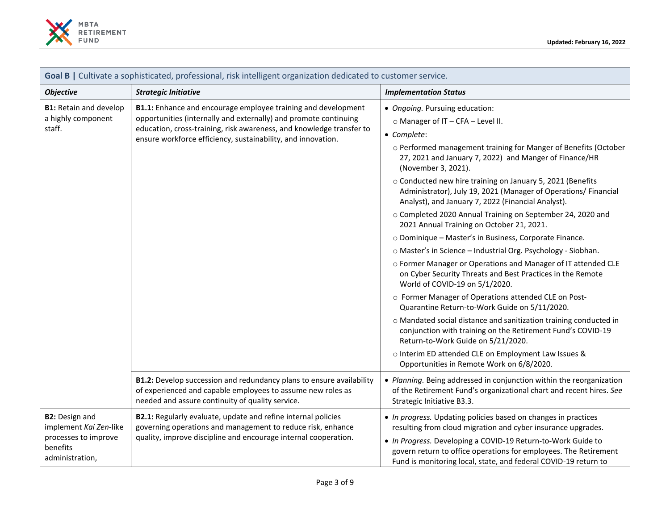

| Goal B   Cultivate a sophisticated, professional, risk intelligent organization dedicated to customer service. |                                                                                                                                                                                                                                                                                  |                                                                                                                                                                                                                                                                                                                                                                                                                                                                                                                                                                                                                                                                                                                                                                                                                                                                                                                                                                                                                                                                                                                                                                                                                                    |  |
|----------------------------------------------------------------------------------------------------------------|----------------------------------------------------------------------------------------------------------------------------------------------------------------------------------------------------------------------------------------------------------------------------------|------------------------------------------------------------------------------------------------------------------------------------------------------------------------------------------------------------------------------------------------------------------------------------------------------------------------------------------------------------------------------------------------------------------------------------------------------------------------------------------------------------------------------------------------------------------------------------------------------------------------------------------------------------------------------------------------------------------------------------------------------------------------------------------------------------------------------------------------------------------------------------------------------------------------------------------------------------------------------------------------------------------------------------------------------------------------------------------------------------------------------------------------------------------------------------------------------------------------------------|--|
| <b>Objective</b>                                                                                               | <b>Strategic Initiative</b>                                                                                                                                                                                                                                                      | <b>Implementation Status</b>                                                                                                                                                                                                                                                                                                                                                                                                                                                                                                                                                                                                                                                                                                                                                                                                                                                                                                                                                                                                                                                                                                                                                                                                       |  |
| <b>B1: Retain and develop</b><br>a highly component<br>staff.                                                  | <b>B1.1:</b> Enhance and encourage employee training and development<br>opportunities (internally and externally) and promote continuing<br>education, cross-training, risk awareness, and knowledge transfer to<br>ensure workforce efficiency, sustainability, and innovation. | • Ongoing. Pursuing education:<br>$\circ$ Manager of IT - CFA - Level II.<br>• Complete:<br>o Performed management training for Manger of Benefits (October<br>27, 2021 and January 7, 2022) and Manger of Finance/HR<br>(November 3, 2021).<br>o Conducted new hire training on January 5, 2021 (Benefits<br>Administrator), July 19, 2021 (Manager of Operations/ Financial<br>Analyst), and January 7, 2022 (Financial Analyst).<br>o Completed 2020 Annual Training on September 24, 2020 and<br>2021 Annual Training on October 21, 2021.<br>o Dominique - Master's in Business, Corporate Finance.<br>o Master's in Science - Industrial Org. Psychology - Siobhan.<br>o Former Manager or Operations and Manager of IT attended CLE<br>on Cyber Security Threats and Best Practices in the Remote<br>World of COVID-19 on 5/1/2020.<br>o Former Manager of Operations attended CLE on Post-<br>Quarantine Return-to-Work Guide on 5/11/2020.<br>o Mandated social distance and sanitization training conducted in<br>conjunction with training on the Retirement Fund's COVID-19<br>Return-to-Work Guide on 5/21/2020.<br>o Interim ED attended CLE on Employment Law Issues &<br>Opportunities in Remote Work on 6/8/2020. |  |
|                                                                                                                | B1.2: Develop succession and redundancy plans to ensure availability<br>of experienced and capable employees to assume new roles as<br>needed and assure continuity of quality service.                                                                                          | • Planning. Being addressed in conjunction within the reorganization<br>of the Retirement Fund's organizational chart and recent hires. See<br>Strategic Initiative B3.3.                                                                                                                                                                                                                                                                                                                                                                                                                                                                                                                                                                                                                                                                                                                                                                                                                                                                                                                                                                                                                                                          |  |
| <b>B2:</b> Design and<br>implement Kai Zen-like<br>processes to improve<br>benefits<br>administration,         | B2.1: Regularly evaluate, update and refine internal policies<br>governing operations and management to reduce risk, enhance<br>quality, improve discipline and encourage internal cooperation.                                                                                  | • In progress. Updating policies based on changes in practices<br>resulting from cloud migration and cyber insurance upgrades.<br>• In Progress. Developing a COVID-19 Return-to-Work Guide to<br>govern return to office operations for employees. The Retirement<br>Fund is monitoring local, state, and federal COVID-19 return to                                                                                                                                                                                                                                                                                                                                                                                                                                                                                                                                                                                                                                                                                                                                                                                                                                                                                              |  |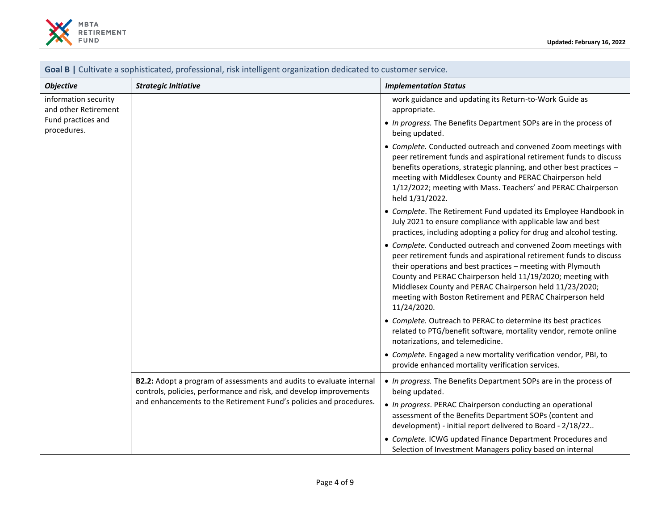

| Goal B   Cultivate a sophisticated, professional, risk intelligent organization dedicated to customer service. |                                                                                                                                                                                                                  |                                                                                                                                                                                                                                                                                                                                                                                                          |  |
|----------------------------------------------------------------------------------------------------------------|------------------------------------------------------------------------------------------------------------------------------------------------------------------------------------------------------------------|----------------------------------------------------------------------------------------------------------------------------------------------------------------------------------------------------------------------------------------------------------------------------------------------------------------------------------------------------------------------------------------------------------|--|
| <b>Objective</b>                                                                                               | <b>Strategic Initiative</b>                                                                                                                                                                                      | <b>Implementation Status</b>                                                                                                                                                                                                                                                                                                                                                                             |  |
| information security<br>and other Retirement<br>Fund practices and<br>procedures.                              |                                                                                                                                                                                                                  | work guidance and updating its Return-to-Work Guide as<br>appropriate.                                                                                                                                                                                                                                                                                                                                   |  |
|                                                                                                                |                                                                                                                                                                                                                  | • In progress. The Benefits Department SOPs are in the process of<br>being updated.                                                                                                                                                                                                                                                                                                                      |  |
|                                                                                                                |                                                                                                                                                                                                                  | • Complete. Conducted outreach and convened Zoom meetings with<br>peer retirement funds and aspirational retirement funds to discuss<br>benefits operations, strategic planning, and other best practices -<br>meeting with Middlesex County and PERAC Chairperson held<br>1/12/2022; meeting with Mass. Teachers' and PERAC Chairperson<br>held 1/31/2022.                                              |  |
|                                                                                                                |                                                                                                                                                                                                                  | • Complete. The Retirement Fund updated its Employee Handbook in<br>July 2021 to ensure compliance with applicable law and best<br>practices, including adopting a policy for drug and alcohol testing.                                                                                                                                                                                                  |  |
|                                                                                                                |                                                                                                                                                                                                                  | • Complete. Conducted outreach and convened Zoom meetings with<br>peer retirement funds and aspirational retirement funds to discuss<br>their operations and best practices - meeting with Plymouth<br>County and PERAC Chairperson held 11/19/2020; meeting with<br>Middlesex County and PERAC Chairperson held 11/23/2020;<br>meeting with Boston Retirement and PERAC Chairperson held<br>11/24/2020. |  |
|                                                                                                                |                                                                                                                                                                                                                  | • Complete. Outreach to PERAC to determine its best practices<br>related to PTG/benefit software, mortality vendor, remote online<br>notarizations, and telemedicine.                                                                                                                                                                                                                                    |  |
|                                                                                                                |                                                                                                                                                                                                                  | • Complete. Engaged a new mortality verification vendor, PBI, to<br>provide enhanced mortality verification services.                                                                                                                                                                                                                                                                                    |  |
|                                                                                                                | B2.2: Adopt a program of assessments and audits to evaluate internal<br>controls, policies, performance and risk, and develop improvements<br>and enhancements to the Retirement Fund's policies and procedures. | • In progress. The Benefits Department SOPs are in the process of<br>being updated.<br>• In progress. PERAC Chairperson conducting an operational<br>assessment of the Benefits Department SOPs (content and<br>development) - initial report delivered to Board - 2/18/22<br>• Complete. ICWG updated Finance Department Procedures and<br>Selection of Investment Managers policy based on internal    |  |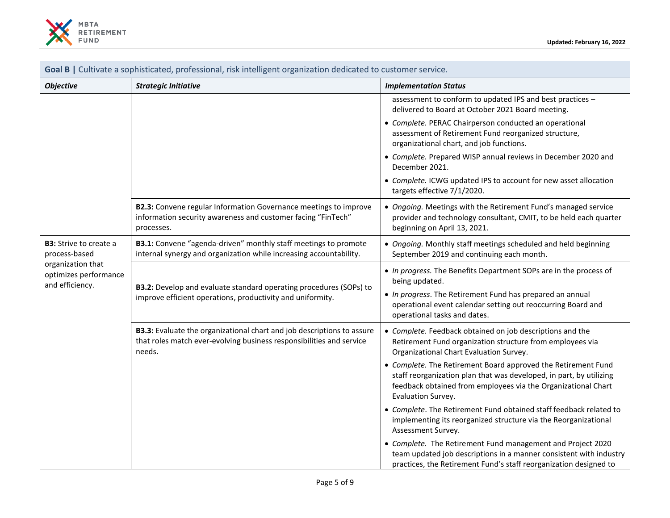

| Goal B   Cultivate a sophisticated, professional, risk intelligent organization dedicated to customer service.  |                                                                                                                                                          |                                                                                                                                                                                                                                                  |  |
|-----------------------------------------------------------------------------------------------------------------|----------------------------------------------------------------------------------------------------------------------------------------------------------|--------------------------------------------------------------------------------------------------------------------------------------------------------------------------------------------------------------------------------------------------|--|
| <b>Objective</b>                                                                                                | <b>Strategic Initiative</b>                                                                                                                              | <b>Implementation Status</b>                                                                                                                                                                                                                     |  |
|                                                                                                                 |                                                                                                                                                          | assessment to conform to updated IPS and best practices -<br>delivered to Board at October 2021 Board meeting.                                                                                                                                   |  |
|                                                                                                                 |                                                                                                                                                          | • Complete. PERAC Chairperson conducted an operational<br>assessment of Retirement Fund reorganized structure,<br>organizational chart, and job functions.                                                                                       |  |
|                                                                                                                 |                                                                                                                                                          | • Complete. Prepared WISP annual reviews in December 2020 and<br>December 2021.                                                                                                                                                                  |  |
|                                                                                                                 |                                                                                                                                                          | • Complete. ICWG updated IPS to account for new asset allocation<br>targets effective 7/1/2020.                                                                                                                                                  |  |
|                                                                                                                 | B2.3: Convene regular Information Governance meetings to improve<br>information security awareness and customer facing "FinTech"<br>processes.           | • Ongoing. Meetings with the Retirement Fund's managed service<br>provider and technology consultant, CMIT, to be held each quarter<br>beginning on April 13, 2021.                                                                              |  |
| <b>B3:</b> Strive to create a<br>process-based<br>organization that<br>optimizes performance<br>and efficiency. | B3.1: Convene "agenda-driven" monthly staff meetings to promote<br>internal synergy and organization while increasing accountability.                    | • Ongoing. Monthly staff meetings scheduled and held beginning<br>September 2019 and continuing each month.                                                                                                                                      |  |
|                                                                                                                 | B3.2: Develop and evaluate standard operating procedures (SOPs) to<br>improve efficient operations, productivity and uniformity.                         | • In progress. The Benefits Department SOPs are in the process of<br>being updated.<br>• In progress. The Retirement Fund has prepared an annual<br>operational event calendar setting out reoccurring Board and<br>operational tasks and dates. |  |
|                                                                                                                 | B3.3: Evaluate the organizational chart and job descriptions to assure<br>that roles match ever-evolving business responsibilities and service<br>needs. | • Complete. Feedback obtained on job descriptions and the<br>Retirement Fund organization structure from employees via<br>Organizational Chart Evaluation Survey.                                                                                |  |
|                                                                                                                 |                                                                                                                                                          | • Complete. The Retirement Board approved the Retirement Fund<br>staff reorganization plan that was developed, in part, by utilizing<br>feedback obtained from employees via the Organizational Chart<br>Evaluation Survey.                      |  |
|                                                                                                                 |                                                                                                                                                          | • Complete. The Retirement Fund obtained staff feedback related to<br>implementing its reorganized structure via the Reorganizational<br>Assessment Survey.                                                                                      |  |
|                                                                                                                 |                                                                                                                                                          | • Complete. The Retirement Fund management and Project 2020<br>team updated job descriptions in a manner consistent with industry<br>practices, the Retirement Fund's staff reorganization designed to                                           |  |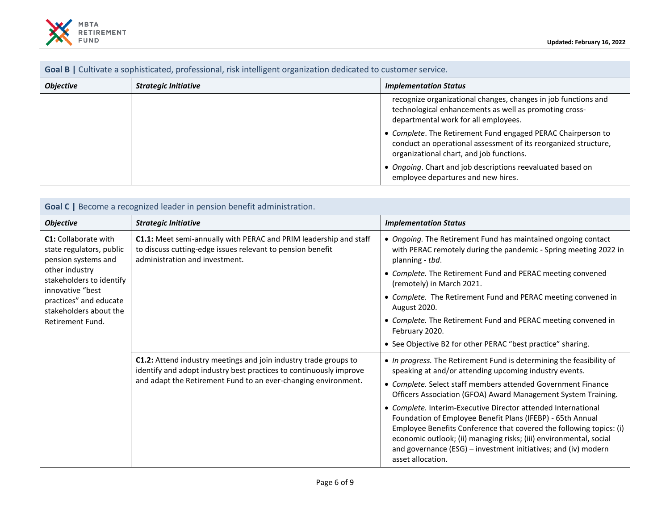

| Goal B   Cultivate a sophisticated, professional, risk intelligent organization dedicated to customer service. |                             |                                                                                                                                                                             |
|----------------------------------------------------------------------------------------------------------------|-----------------------------|-----------------------------------------------------------------------------------------------------------------------------------------------------------------------------|
| <b>Objective</b>                                                                                               | <b>Strategic Initiative</b> | <b>Implementation Status</b>                                                                                                                                                |
|                                                                                                                |                             | recognize organizational changes, changes in job functions and<br>technological enhancements as well as promoting cross-<br>departmental work for all employees.            |
|                                                                                                                |                             | • Complete. The Retirement Fund engaged PERAC Chairperson to<br>conduct an operational assessment of its reorganized structure,<br>organizational chart, and job functions. |
|                                                                                                                |                             | Ongoing. Chart and job descriptions reevaluated based on<br>employee departures and new hires.                                                                              |

| Goal C   Become a recognized leader in pension benefit administration.                                                                                                                                                   |                                                                                                                                                                                                          |                                                                                                                                                                                                                                                                                                                                                                 |
|--------------------------------------------------------------------------------------------------------------------------------------------------------------------------------------------------------------------------|----------------------------------------------------------------------------------------------------------------------------------------------------------------------------------------------------------|-----------------------------------------------------------------------------------------------------------------------------------------------------------------------------------------------------------------------------------------------------------------------------------------------------------------------------------------------------------------|
| <b>Objective</b>                                                                                                                                                                                                         | <b>Strategic Initiative</b>                                                                                                                                                                              | <b>Implementation Status</b>                                                                                                                                                                                                                                                                                                                                    |
| <b>C1:</b> Collaborate with<br>state regulators, public<br>pension systems and<br>other industry<br>stakeholders to identify<br>innovative "best<br>practices" and educate<br>stakeholders about the<br>Retirement Fund. | C1.1: Meet semi-annually with PERAC and PRIM leadership and staff<br>to discuss cutting-edge issues relevant to pension benefit<br>administration and investment.                                        | • Ongoing. The Retirement Fund has maintained ongoing contact<br>with PERAC remotely during the pandemic - Spring meeting 2022 in<br>planning - tbd.                                                                                                                                                                                                            |
|                                                                                                                                                                                                                          |                                                                                                                                                                                                          | • Complete. The Retirement Fund and PERAC meeting convened<br>(remotely) in March 2021.                                                                                                                                                                                                                                                                         |
|                                                                                                                                                                                                                          |                                                                                                                                                                                                          | • Complete. The Retirement Fund and PERAC meeting convened in<br>August 2020.                                                                                                                                                                                                                                                                                   |
|                                                                                                                                                                                                                          |                                                                                                                                                                                                          | • Complete. The Retirement Fund and PERAC meeting convened in<br>February 2020.                                                                                                                                                                                                                                                                                 |
|                                                                                                                                                                                                                          |                                                                                                                                                                                                          | • See Objective B2 for other PERAC "best practice" sharing.                                                                                                                                                                                                                                                                                                     |
|                                                                                                                                                                                                                          | C1.2: Attend industry meetings and join industry trade groups to<br>identify and adopt industry best practices to continuously improve<br>and adapt the Retirement Fund to an ever-changing environment. | . In progress. The Retirement Fund is determining the feasibility of<br>speaking at and/or attending upcoming industry events.                                                                                                                                                                                                                                  |
|                                                                                                                                                                                                                          |                                                                                                                                                                                                          | • Complete. Select staff members attended Government Finance<br>Officers Association (GFOA) Award Management System Training.                                                                                                                                                                                                                                   |
|                                                                                                                                                                                                                          |                                                                                                                                                                                                          | • Complete. Interim-Executive Director attended International<br>Foundation of Employee Benefit Plans (IFEBP) - 65th Annual<br>Employee Benefits Conference that covered the following topics: (i)<br>economic outlook; (ii) managing risks; (iii) environmental, social<br>and governance (ESG) – investment initiatives; and (iv) modern<br>asset allocation. |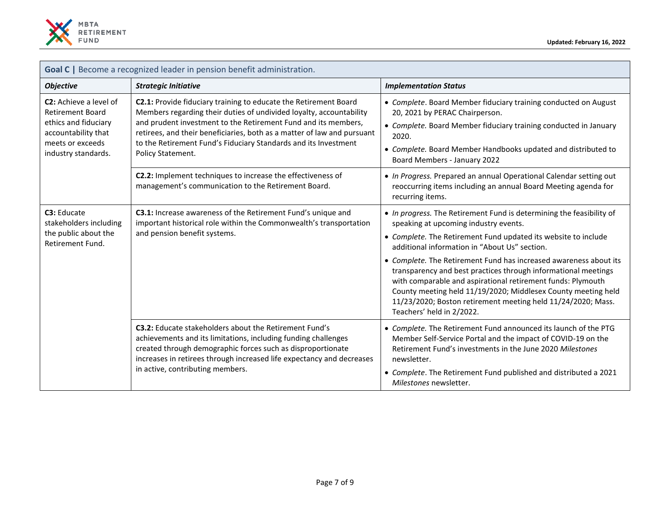

| Goal C   Become a recognized leader in pension benefit administration.                                                                             |                                                                                                                                                                                                                                                                                                                                                                              |                                                                                                                                                                                                                                                                                                                                                                                                                                                                                                                                                                                                      |  |
|----------------------------------------------------------------------------------------------------------------------------------------------------|------------------------------------------------------------------------------------------------------------------------------------------------------------------------------------------------------------------------------------------------------------------------------------------------------------------------------------------------------------------------------|------------------------------------------------------------------------------------------------------------------------------------------------------------------------------------------------------------------------------------------------------------------------------------------------------------------------------------------------------------------------------------------------------------------------------------------------------------------------------------------------------------------------------------------------------------------------------------------------------|--|
| <b>Objective</b>                                                                                                                                   | <b>Strategic Initiative</b>                                                                                                                                                                                                                                                                                                                                                  | <b>Implementation Status</b>                                                                                                                                                                                                                                                                                                                                                                                                                                                                                                                                                                         |  |
| <b>C2:</b> Achieve a level of<br><b>Retirement Board</b><br>ethics and fiduciary<br>accountability that<br>meets or exceeds<br>industry standards. | C2.1: Provide fiduciary training to educate the Retirement Board<br>Members regarding their duties of undivided loyalty, accountability<br>and prudent investment to the Retirement Fund and its members,<br>retirees, and their beneficiaries, both as a matter of law and pursuant<br>to the Retirement Fund's Fiduciary Standards and its Investment<br>Policy Statement. | • Complete. Board Member fiduciary training conducted on August<br>20, 2021 by PERAC Chairperson.<br>• Complete. Board Member fiduciary training conducted in January<br>2020.<br>• Complete. Board Member Handbooks updated and distributed to<br>Board Members - January 2022                                                                                                                                                                                                                                                                                                                      |  |
|                                                                                                                                                    | C2.2: Implement techniques to increase the effectiveness of<br>management's communication to the Retirement Board.                                                                                                                                                                                                                                                           | • In Progress. Prepared an annual Operational Calendar setting out<br>reoccurring items including an annual Board Meeting agenda for<br>recurring items.                                                                                                                                                                                                                                                                                                                                                                                                                                             |  |
| C3: Educate<br>stakeholders including<br>the public about the<br>Retirement Fund.                                                                  | C3.1: Increase awareness of the Retirement Fund's unique and<br>important historical role within the Commonwealth's transportation<br>and pension benefit systems.                                                                                                                                                                                                           | • In progress. The Retirement Fund is determining the feasibility of<br>speaking at upcoming industry events.<br>• Complete. The Retirement Fund updated its website to include<br>additional information in "About Us" section.<br>• Complete. The Retirement Fund has increased awareness about its<br>transparency and best practices through informational meetings<br>with comparable and aspirational retirement funds: Plymouth<br>County meeting held 11/19/2020; Middlesex County meeting held<br>11/23/2020; Boston retirement meeting held 11/24/2020; Mass.<br>Teachers' held in 2/2022. |  |
|                                                                                                                                                    | <b>C3.2:</b> Educate stakeholders about the Retirement Fund's<br>achievements and its limitations, including funding challenges<br>created through demographic forces such as disproportionate<br>increases in retirees through increased life expectancy and decreases<br>in active, contributing members.                                                                  | • Complete. The Retirement Fund announced its launch of the PTG<br>Member Self-Service Portal and the impact of COVID-19 on the<br>Retirement Fund's investments in the June 2020 Milestones<br>newsletter.<br>• Complete. The Retirement Fund published and distributed a 2021<br>Milestones newsletter.                                                                                                                                                                                                                                                                                            |  |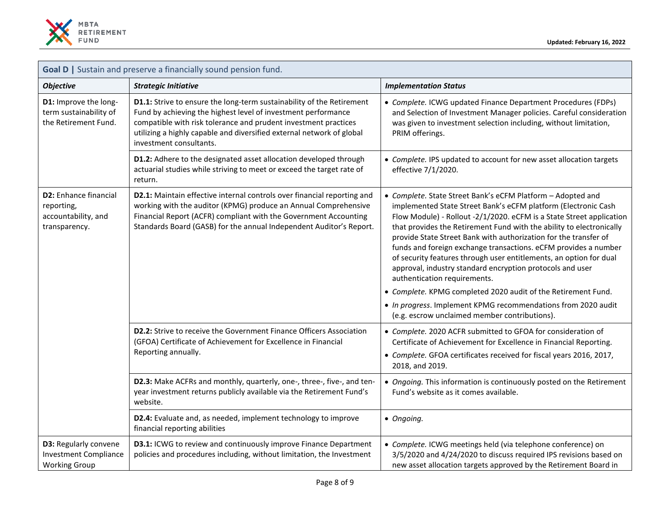

| Goal D   Sustain and preserve a financially sound pension fund.                      |                                                                                                                                                                                                                                                                                                               |                                                                                                                                                                                                                                                                                                                                                                                                                                                                                                                                                                                                                                                                                                                                                                            |  |
|--------------------------------------------------------------------------------------|---------------------------------------------------------------------------------------------------------------------------------------------------------------------------------------------------------------------------------------------------------------------------------------------------------------|----------------------------------------------------------------------------------------------------------------------------------------------------------------------------------------------------------------------------------------------------------------------------------------------------------------------------------------------------------------------------------------------------------------------------------------------------------------------------------------------------------------------------------------------------------------------------------------------------------------------------------------------------------------------------------------------------------------------------------------------------------------------------|--|
| <b>Objective</b>                                                                     | <b>Strategic Initiative</b>                                                                                                                                                                                                                                                                                   | <b>Implementation Status</b>                                                                                                                                                                                                                                                                                                                                                                                                                                                                                                                                                                                                                                                                                                                                               |  |
| D1: Improve the long-<br>term sustainability of<br>the Retirement Fund.              | D1.1: Strive to ensure the long-term sustainability of the Retirement<br>Fund by achieving the highest level of investment performance<br>compatible with risk tolerance and prudent investment practices<br>utilizing a highly capable and diversified external network of global<br>investment consultants. | • Complete. ICWG updated Finance Department Procedures (FDPs)<br>and Selection of Investment Manager policies. Careful consideration<br>was given to investment selection including, without limitation,<br>PRIM offerings.                                                                                                                                                                                                                                                                                                                                                                                                                                                                                                                                                |  |
|                                                                                      | D1.2: Adhere to the designated asset allocation developed through<br>actuarial studies while striving to meet or exceed the target rate of<br>return.                                                                                                                                                         | • Complete. IPS updated to account for new asset allocation targets<br>effective 7/1/2020.                                                                                                                                                                                                                                                                                                                                                                                                                                                                                                                                                                                                                                                                                 |  |
| <b>D2: Enhance financial</b><br>reporting,<br>accountability, and<br>transparency.   | D2.1: Maintain effective internal controls over financial reporting and<br>working with the auditor (KPMG) produce an Annual Comprehensive<br>Financial Report (ACFR) compliant with the Government Accounting<br>Standards Board (GASB) for the annual Independent Auditor's Report.                         | • Complete. State Street Bank's eCFM Platform - Adopted and<br>implemented State Street Bank's eCFM platform (Electronic Cash<br>Flow Module) - Rollout -2/1/2020. eCFM is a State Street application<br>that provides the Retirement Fund with the ability to electronically<br>provide State Street Bank with authorization for the transfer of<br>funds and foreign exchange transactions. eCFM provides a number<br>of security features through user entitlements, an option for dual<br>approval, industry standard encryption protocols and user<br>authentication requirements.<br>• Complete. KPMG completed 2020 audit of the Retirement Fund.<br>• In progress. Implement KPMG recommendations from 2020 audit<br>(e.g. escrow unclaimed member contributions). |  |
|                                                                                      | D2.2: Strive to receive the Government Finance Officers Association<br>(GFOA) Certificate of Achievement for Excellence in Financial<br>Reporting annually.                                                                                                                                                   | • Complete. 2020 ACFR submitted to GFOA for consideration of<br>Certificate of Achievement for Excellence in Financial Reporting.<br>• Complete. GFOA certificates received for fiscal years 2016, 2017,<br>2018, and 2019.                                                                                                                                                                                                                                                                                                                                                                                                                                                                                                                                                |  |
|                                                                                      | D2.3: Make ACFRs and monthly, quarterly, one-, three-, five-, and ten-<br>year investment returns publicly available via the Retirement Fund's<br>website.                                                                                                                                                    | • Ongoing. This information is continuously posted on the Retirement<br>Fund's website as it comes available.                                                                                                                                                                                                                                                                                                                                                                                                                                                                                                                                                                                                                                                              |  |
|                                                                                      | D2.4: Evaluate and, as needed, implement technology to improve<br>financial reporting abilities                                                                                                                                                                                                               | • Ongoing.                                                                                                                                                                                                                                                                                                                                                                                                                                                                                                                                                                                                                                                                                                                                                                 |  |
| <b>D3: Regularly convene</b><br><b>Investment Compliance</b><br><b>Working Group</b> | D3.1: ICWG to review and continuously improve Finance Department<br>policies and procedures including, without limitation, the Investment                                                                                                                                                                     | • Complete. ICWG meetings held (via telephone conference) on<br>3/5/2020 and 4/24/2020 to discuss required IPS revisions based on<br>new asset allocation targets approved by the Retirement Board in                                                                                                                                                                                                                                                                                                                                                                                                                                                                                                                                                                      |  |